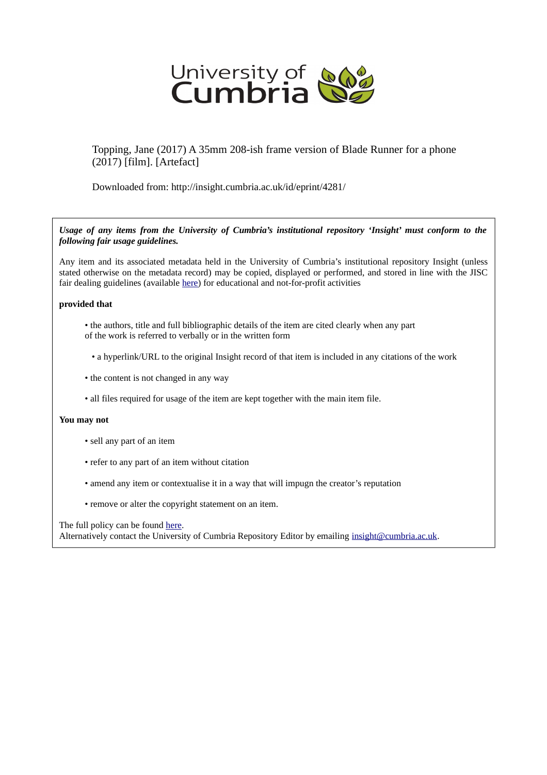

Topping, Jane (2017) A 35mm 208-ish frame version of Blade Runner for a phone (2017) [film]. [Artefact]

Downloaded from: http://insight.cumbria.ac.uk/id/eprint/4281/

*Usage of any items from the University of Cumbria's institutional repository 'Insight' must conform to the following fair usage guidelines.*

Any item and its associated metadata held in the University of Cumbria's institutional repository Insight (unless stated otherwise on the metadata record) may be copied, displayed or performed, and stored in line with the JISC fair dealing guidelines (available [here\)](http://www.ukoln.ac.uk/services/elib/papers/pa/fair/) for educational and not-for-profit activities

## **provided that**

- the authors, title and full bibliographic details of the item are cited clearly when any part of the work is referred to verbally or in the written form
	- a hyperlink/URL to the original Insight record of that item is included in any citations of the work
- the content is not changed in any way
- all files required for usage of the item are kept together with the main item file.

## **You may not**

- sell any part of an item
- refer to any part of an item without citation
- amend any item or contextualise it in a way that will impugn the creator's reputation
- remove or alter the copyright statement on an item.

The full policy can be found [here.](http://insight.cumbria.ac.uk/legal.html#section5)

Alternatively contact the University of Cumbria Repository Editor by emailing [insight@cumbria.ac.uk.](mailto:insight@cumbria.ac.uk)